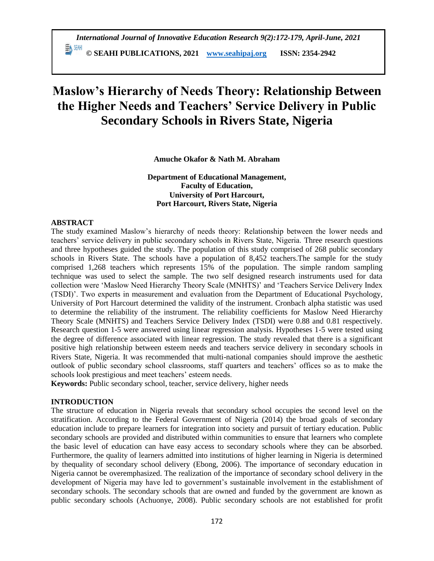*International Journal of Innovative Education Research 9(2):172-179, April-June, 2021*  **© SEAHI PUBLICATIONS, 2021 [www.seahipaj.org](http://www.seahipaj.org/) ISSN: 2354-2942**

# **Maslow's Hierarchy of Needs Theory: Relationship Between the Higher Needs and Teachers' Service Delivery in Public Secondary Schools in Rivers State, Nigeria**

**Amuche Okafor & Nath M. Abraham**

**Department of Educational Management, Faculty of Education, University of Port Harcourt, Port Harcourt, Rivers State, Nigeria**

#### **ABSTRACT**

The study examined Maslow's hierarchy of needs theory: Relationship between the lower needs and teachers' service delivery in public secondary schools in Rivers State, Nigeria. Three research questions and three hypotheses guided the study. The population of this study comprised of 268 public secondary schools in Rivers State. The schools have a population of 8,452 teachers.The sample for the study comprised 1,268 teachers which represents 15% of the population. The simple random sampling technique was used to select the sample. The two self designed research instruments used for data collection were 'Maslow Need Hierarchy Theory Scale (MNHTS)' and 'Teachers Service Delivery Index (TSDI)'. Two experts in measurement and evaluation from the Department of Educational Psychology, University of Port Harcourt determined the validity of the instrument. Cronbach alpha statistic was used to determine the reliability of the instrument. The reliability coefficients for Maslow Need Hierarchy Theory Scale (MNHTS) and Teachers Service Delivery Index (TSDI) were 0.88 and 0.81 respectively. Research question 1-5 were answered using linear regression analysis. Hypotheses 1-5 were tested using the degree of difference associated with linear regression. The study revealed that there is a significant positive high relationship between esteem needs and teachers service delivery in secondary schools in Rivers State, Nigeria. It was recommended that multi-national companies should improve the aesthetic outlook of public secondary school classrooms, staff quarters and teachers' offices so as to make the schools look prestigious and meet teachers' esteem needs.

**Keywords:** Public secondary school, teacher, service delivery, higher needs

#### **INTRODUCTION**

The structure of education in Nigeria reveals that secondary school occupies the second level on the stratification. According to the Federal Government of Nigeria (2014) the broad goals of secondary education include to prepare learners for integration into society and pursuit of tertiary education. Public secondary schools are provided and distributed within communities to ensure that learners who complete the basic level of education can have easy access to secondary schools where they can be absorbed. Furthermore, the quality of learners admitted into institutions of higher learning in Nigeria is determined by thequality of secondary school delivery (Ebong, 2006). The importance of secondary education in Nigeria cannot be overemphasized. The realization of the importance of secondary school delivery in the development of Nigeria may have led to government's sustainable involvement in the establishment of secondary schools. The secondary schools that are owned and funded by the government are known as public secondary schools (Achuonye, 2008). Public secondary schools are not established for profit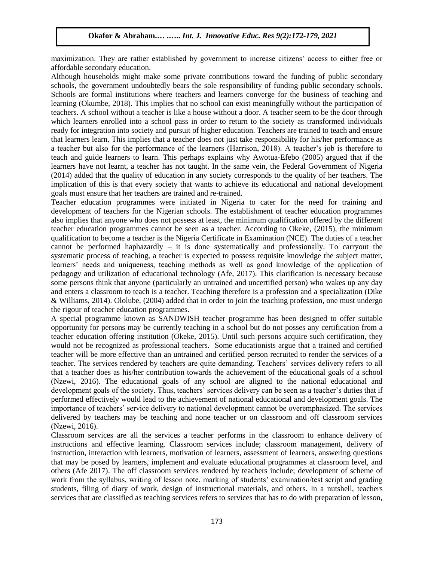maximization. They are rather established by government to increase citizens' access to either free or affordable secondary education.

Although households might make some private contributions toward the funding of public secondary schools, the government undoubtedly bears the sole responsibility of funding public secondary schools. Schools are formal institutions where teachers and learners converge for the business of teaching and learning (Okumbe, 2018). This implies that no school can exist meaningfully without the participation of teachers. A school without a teacher is like a house without a door. A teacher seem to be the door through which learners enrolled into a school pass in order to return to the society as transformed individuals ready for integration into society and pursuit of higher education. Teachers are trained to teach and ensure that learners learn. This implies that a teacher does not just take responsibility for his/her performance as a teacher but also for the performance of the learners (Harrison, 2018). A teacher's job is therefore to teach and guide learners to learn. This perhaps explains why Awotua-Efebo (2005) argued that if the learners have not learnt, a teacher has not taught. In the same vein, the Federal Government of Nigeria (2014) added that the quality of education in any society corresponds to the quality of her teachers. The implication of this is that every society that wants to achieve its educational and national development goals must ensure that her teachers are trained and re-trained.

Teacher education programmes were initiated in Nigeria to cater for the need for training and development of teachers for the Nigerian schools. The establishment of teacher education programmes also implies that anyone who does not possess at least, the minimum qualification offered by the different teacher education programmes cannot be seen as a teacher. According to Okeke, (2015), the minimum qualification to become a teacher is the Nigeria Certificate in Examination (NCE). The duties of a teacher cannot be performed haphazardly – it is done systematically and professionally. To carryout the systematic process of teaching, a teacher is expected to possess requisite knowledge the subject matter, learners' needs and uniqueness, teaching methods as well as good knowledge of the application of pedagogy and utilization of educational technology (Afe, 2017). This clarification is necessary because some persons think that anyone (particularly an untrained and uncertified person) who wakes up any day and enters a classroom to teach is a teacher. Teaching therefore is a profession and a specialization (Dike & Williams, 2014). Ololube, (2004) added that in order to join the teaching profession, one must undergo the rigour of teacher education programmes.

A special programme known as SANDWISH teacher programme has been designed to offer suitable opportunity for persons may be currently teaching in a school but do not posses any certification from a teacher education offering institution (Okeke, 2015). Until such persons acquire such certification, they would not be recognized as professional teachers. Some educationists argue that a trained and certified teacher will be more effective than an untrained and certified person recruited to render the services of a teacher. The services rendered by teachers are quite demanding. Teachers' services delivery refers to all that a teacher does as his/her contribution towards the achievement of the educational goals of a school (Nzewi, 2016). The educational goals of any school are aligned to the national educational and development goals of the society. Thus, teachers' services delivery can be seen as a teacher's duties that if performed effectively would lead to the achievement of national educational and development goals. The importance of teachers' service delivery to national development cannot be overemphasized. The services delivered by teachers may be teaching and none teacher or on classroom and off classroom services (Nzewi, 2016).

Classroom services are all the services a teacher performs in the classroom to enhance delivery of instructions and effective learning. Classroom services include; classroom management, delivery of instruction, interaction with learners, motivation of learners, assessment of learners, answering questions that may be posed by learners, implement and evaluate educational programmes at classroom level, and others (Afe 2017). The off classroom services rendered by teachers include; development of scheme of work from the syllabus, writing of lesson note, marking of students' examination/test script and grading students, filing of diary of work, design of instructional materials, and others. In a nutshell, teachers services that are classified as teaching services refers to services that has to do with preparation of lesson,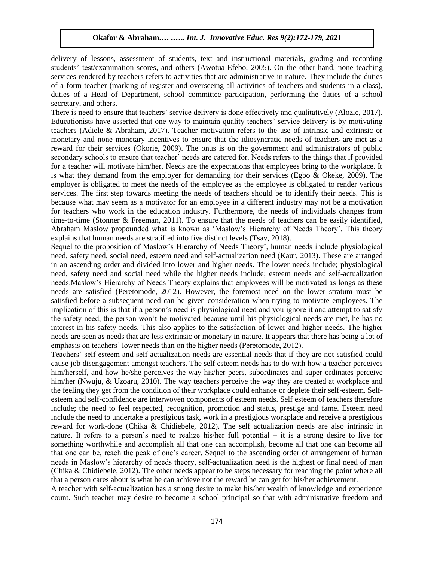delivery of lessons, assessment of students, text and instructional materials, grading and recording students' test/examination scores, and others (Awotua-Efebo, 2005). On the other-hand, none teaching services rendered by teachers refers to activities that are administrative in nature. They include the duties of a form teacher (marking of register and overseeing all activities of teachers and students in a class), duties of a Head of Department, school committee participation, performing the duties of a school secretary, and others.

There is need to ensure that teachers' service delivery is done effectively and qualitatively (Alozie, 2017). Educationists have asserted that one way to maintain quality teachers' service delivery is by motivating teachers (Adiele & Abraham, 2017). Teacher motivation refers to the use of intrinsic and extrinsic or monetary and none monetary incentives to ensure that the idiosyncratic needs of teachers are met as a reward for their services (Okorie, 2009). The onus is on the government and administrators of public secondary schools to ensure that teacher' needs are catered for. Needs refers to the things that if provided for a teacher will motivate him/her. Needs are the expectations that employees bring to the workplace. It is what they demand from the employer for demanding for their services (Egbo & Okeke, 2009). The employer is obligated to meet the needs of the employee as the employee is obligated to render various services. The first step towards meeting the needs of teachers should be to identify their needs. This is because what may seem as a motivator for an employee in a different industry may not be a motivation for teachers who work in the education industry. Furthermore, the needs of individuals changes from time-to-time (Stonner & Freeman, 2011). To ensure that the needs of teachers can be easily identified, Abraham Maslow propounded what is known as 'Maslow's Hierarchy of Needs Theory'. This theory explains that human needs are stratified into five distinct levels (Tsav, 2018).

Sequel to the proposition of Maslow's Hierarchy of Needs Theory', human needs include physiological need, safety need, social need, esteem need and self-actualization need (Kaur, 2013). These are arranged in an ascending order and divided into lower and higher needs. The lower needs include; physiological need, safety need and social need while the higher needs include; esteem needs and self-actualization needs.Maslow's Hierarchy of Needs Theory explains that employees will be motivated as longs as these needs are satisfied (Peretomode, 2012). However, the foremost need on the lower stratum must be satisfied before a subsequent need can be given consideration when trying to motivate employees. The implication of this is that if a person's need is physiological need and you ignore it and attempt to satisfy the safety need, the person won't be motivated because until his physiological needs are met, he has no interest in his safety needs. This also applies to the satisfaction of lower and higher needs. The higher needs are seen as needs that are less extrinsic or monetary in nature. It appears that there has being a lot of emphasis on teachers' lower needs than on the higher needs (Peretomode, 2012).

Teachers' self esteem and self-actualization needs are essential needs that if they are not satisfied could cause job disengagement amongst teachers. The self esteem needs has to do with how a teacher perceives him/herself, and how he/she perceives the way his/her peers, subordinates and super-ordinates perceive him/her (Nwuju, & Uzoaru, 2010). The way teachers perceive the way they are treated at workplace and the feeling they get from the condition of their workplace could enhance or deplete their self-esteem. Selfesteem and self-confidence are interwoven components of esteem needs. Self esteem of teachers therefore include; the need to feel respected, recognition, promotion and status, prestige and fame. Esteem need include the need to undertake a prestigious task, work in a prestigious workplace and receive a prestigious reward for work-done (Chika & Chidiebele, 2012). The self actualization needs are also intrinsic in nature. It refers to a person's need to realize his/her full potential – it is a strong desire to live for something worthwhile and accomplish all that one can accomplish, become all that one can become all that one can be, reach the peak of one's career. Sequel to the ascending order of arrangement of human needs in Maslow's hierarchy of needs theory, self-actualization need is the highest or final need of man (Chika & Chidiebele, 2012). The other needs appear to be steps necessary for reaching the point where all that a person cares about is what he can achieve not the reward he can get for his/her achievement.

A teacher with self-actualization has a strong desire to make his/her wealth of knowledge and experience count. Such teacher may desire to become a school principal so that with administrative freedom and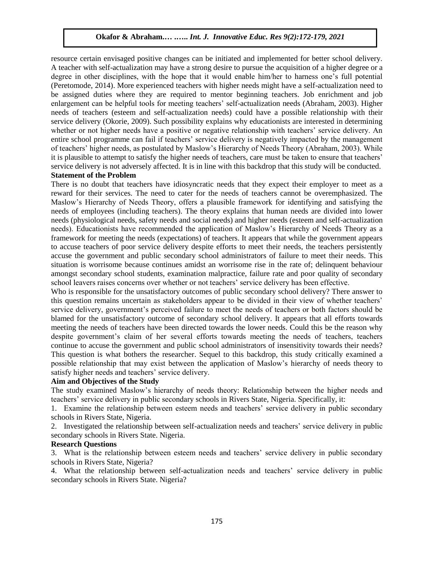resource certain envisaged positive changes can be initiated and implemented for better school delivery. A teacher with self-actualization may have a strong desire to pursue the acquisition of a higher degree or a degree in other disciplines, with the hope that it would enable him/her to harness one's full potential (Peretomode, 2014). More experienced teachers with higher needs might have a self-actualization need to be assigned duties where they are required to mentor beginning teachers. Job enrichment and job enlargement can be helpful tools for meeting teachers' self-actualization needs (Abraham, 2003). Higher needs of teachers (esteem and self-actualization needs) could have a possible relationship with their service delivery (Okorie, 2009). Such possibility explains why educationists are interested in determining whether or not higher needs have a positive or negative relationship with teachers' service delivery. An entire school programme can fail if teachers' service delivery is negatively impacted by the management of teachers' higher needs, as postulated by Maslow's Hierarchy of Needs Theory (Abraham, 2003). While it is plausible to attempt to satisfy the higher needs of teachers, care must be taken to ensure that teachers' service delivery is not adversely affected. It is in line with this backdrop that this study will be conducted. **Statement of the Problem**

# There is no doubt that teachers have idiosyncratic needs that they expect their employer to meet as a reward for their services. The need to cater for the needs of teachers cannot be overemphasized. The Maslow's Hierarchy of Needs Theory, offers a plausible framework for identifying and satisfying the needs of employees (including teachers). The theory explains that human needs are divided into lower needs (physiological needs, safety needs and social needs) and higher needs (esteem and self-actualization needs). Educationists have recommended the application of Maslow's Hierarchy of Needs Theory as a framework for meeting the needs (expectations) of teachers. It appears that while the government appears to accuse teachers of poor service delivery despite efforts to meet their needs, the teachers persistently accuse the government and public secondary school administrators of failure to meet their needs. This situation is worrisome because continues amidst an worrisome rise in the rate of; delinquent behaviour amongst secondary school students, examination malpractice, failure rate and poor quality of secondary school leavers raises concerns over whether or not teachers' service delivery has been effective.

Who is responsible for the unsatisfactory outcomes of public secondary school delivery? There answer to this question remains uncertain as stakeholders appear to be divided in their view of whether teachers' service delivery, government's perceived failure to meet the needs of teachers or both factors should be blamed for the unsatisfactory outcome of secondary school delivery. It appears that all efforts towards meeting the needs of teachers have been directed towards the lower needs. Could this be the reason why despite government's claim of her several efforts towards meeting the needs of teachers, teachers continue to accuse the government and public school administrators of insensitivity towards their needs? This question is what bothers the researcher. Sequel to this backdrop, this study critically examined a possible relationship that may exist between the application of Maslow's hierarchy of needs theory to satisfy higher needs and teachers' service delivery.

# **Aim and Objectives of the Study**

The study examined Maslow's hierarchy of needs theory: Relationship between the higher needs and teachers' service delivery in public secondary schools in Rivers State, Nigeria. Specifically, it:

1. Examine the relationship between esteem needs and teachers' service delivery in public secondary schools in Rivers State, Nigeria.

2. Investigated the relationship between self-actualization needs and teachers' service delivery in public secondary schools in Rivers State. Nigeria.

### **Research Questions**

3. What is the relationship between esteem needs and teachers' service delivery in public secondary schools in Rivers State, Nigeria?

4. What the relationship between self-actualization needs and teachers' service delivery in public secondary schools in Rivers State. Nigeria?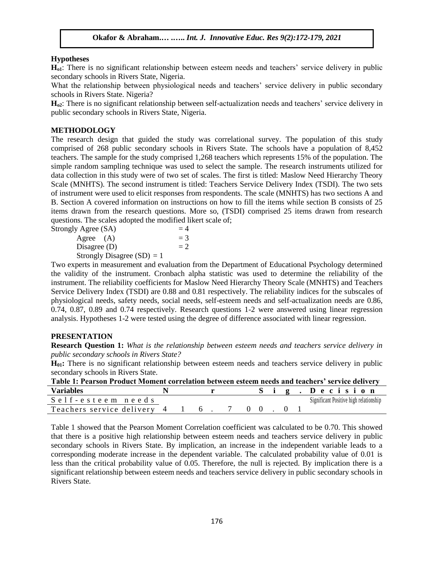# **Hypotheses**

**Ho1**: There is no significant relationship between esteem needs and teachers' service delivery in public secondary schools in Rivers State, Nigeria.

What the relationship between physiological needs and teachers' service delivery in public secondary schools in Rivers State. Nigeria?

**Ho2**: There is no significant relationship between self-actualization needs and teachers' service delivery in public secondary schools in Rivers State, Nigeria.

# **METHODOLOGY**

The research design that guided the study was correlational survey. The population of this study comprised of 268 public secondary schools in Rivers State. The schools have a population of 8,452 teachers. The sample for the study comprised 1,268 teachers which represents 15% of the population. The simple random sampling technique was used to select the sample. The research instruments utilized for data collection in this study were of two set of scales. The first is titled: Maslow Need Hierarchy Theory Scale (MNHTS). The second instrument is titled: Teachers Service Delivery Index (TSDI). The two sets of instrument were used to elicit responses from respondents. The scale (MNHTS) has two sections A and B. Section A covered information on instructions on how to fill the items while section B consists of 25 items drawn from the research questions. More so, (TSDI) comprised 25 items drawn from research questions. The scales adopted the modified likert scale of;

| Strongly Agree (SA)          | $=4$  |
|------------------------------|-------|
| Agree $(A)$                  | $=$ 3 |
| Disagree $(D)$               | $=2$  |
| Strongly Disagree $(SD) = 1$ |       |

Two experts in measurement and evaluation from the Department of Educational Psychology determined the validity of the instrument. Cronbach alpha statistic was used to determine the reliability of the instrument. The reliability coefficients for Maslow Need Hierarchy Theory Scale (MNHTS) and Teachers Service Delivery Index (TSDI) are 0.88 and 0.81 respectively. The reliability indices for the subscales of physiological needs, safety needs, social needs, self-esteem needs and self-actualization needs are 0.86, 0.74, 0.87, 0.89 and 0.74 respectively. Research questions 1-2 were answered using linear regression analysis. Hypotheses 1-2 were tested using the degree of difference associated with linear regression.

# **PRESENTATION**

**Research Question 1:** *What is the relationship between esteem needs and teachers service delivery in public secondary schools in Rivers State?*

**H01:** There is no significant relationship between esteem needs and teachers service delivery in public secondary schools in Rivers State.

| Table 1: Pearson Product Moment correlation between esteem needs and teachers' service delivery |  |  |  |  |  |  |  |  |  |                                        |
|-------------------------------------------------------------------------------------------------|--|--|--|--|--|--|--|--|--|----------------------------------------|
| <b>Variables</b>                                                                                |  |  |  |  |  |  |  |  |  | Sig. Decision                          |
| Self-esteem needs                                                                               |  |  |  |  |  |  |  |  |  | Significant Positive high relationship |
| Teachers service delivery 4 1 6. 7 0 0. 0 1                                                     |  |  |  |  |  |  |  |  |  |                                        |

Table 1 showed that the Pearson Moment Correlation coefficient was calculated to be 0.70. This showed that there is a positive high relationship between esteem needs and teachers service delivery in public secondary schools in Rivers State. By implication, an increase in the independent variable leads to a corresponding moderate increase in the dependent variable. The calculated probability value of 0.01 is less than the critical probability value of 0.05. Therefore, the null is rejected. By implication there is a significant relationship between esteem needs and teachers service delivery in public secondary schools in Rivers State.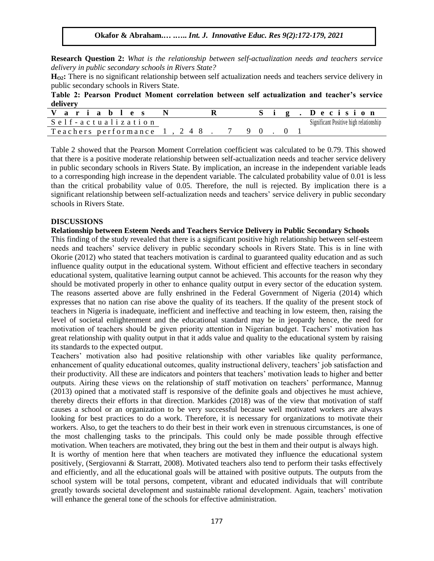**Research Question 2:** *What is the relationship between self-actualization needs and teachers service delivery in public secondary schools in Rivers State?*

**HO2:** There is no significant relationship between self actualization needs and teachers service delivery in public secondary schools in Rivers State.

**Table 2: Pearson Product Moment correlation between self actualization and teacher's service delivery**

| ariables             |    |  |  |  | Decision                               |
|----------------------|----|--|--|--|----------------------------------------|
| Self-actualization   |    |  |  |  | Significant Positive high relationship |
| Teachers performance | 48 |  |  |  |                                        |

Table 2 showed that the Pearson Moment Correlation coefficient was calculated to be 0.79. This showed that there is a positive moderate relationship between self-actualization needs and teacher service delivery in public secondary schools in Rivers State. By implication, an increase in the independent variable leads to a corresponding high increase in the dependent variable. The calculated probability value of 0.01 is less than the critical probability value of 0.05. Therefore, the null is rejected. By implication there is a significant relationship between self-actualization needs and teachers' service delivery in public secondary schools in Rivers State.

## **DISCUSSIONS**

## **Relationship between Esteem Needs and Teachers Service Delivery in Public Secondary Schools**

This finding of the study revealed that there is a significant positive high relationship between self-esteem needs and teachers' service delivery in public secondary schools in Rivers State. This is in line with Okorie (2012) who stated that teachers motivation is cardinal to guaranteed quality education and as such influence quality output in the educational system. Without efficient and effective teachers in secondary educational system, qualitative learning output cannot be achieved. This accounts for the reason why they should be motivated properly in other to enhance quality output in every sector of the education system. The reasons asserted above are fully enshrined in the Federal Government of Nigeria (2014) which expresses that no nation can rise above the quality of its teachers. If the quality of the present stock of teachers in Nigeria is inadequate, inefficient and ineffective and teaching in low esteem, then, raising the level of societal enlightenment and the educational standard may be in jeopardy hence, the need for motivation of teachers should be given priority attention in Nigerian budget. Teachers' motivation has great relationship with quality output in that it adds value and quality to the educational system by raising its standards to the expected output.

Teachers' motivation also had positive relationship with other variables like quality performance, enhancement of quality educational outcomes, quality instructional delivery, teachers' job satisfaction and their productivity. All these are indicators and pointers that teachers' motivation leads to higher and better outputs. Airing these views on the relationship of staff motivation on teachers' performance, Mannug (2013) opined that a motivated staff is responsive of the definite goals and objectives he must achieve, thereby directs their efforts in that direction. Markides (2018) was of the view that motivation of staff causes a school or an organization to be very successful because well motivated workers are always looking for best practices to do a work. Therefore, it is necessary for organizations to motivate their workers. Also, to get the teachers to do their best in their work even in strenuous circumstances, is one of the most challenging tasks to the principals. This could only be made possible through effective motivation. When teachers are motivated, they bring out the best in them and their output is always high. It is worthy of mention here that when teachers are motivated they influence the educational system positively, (Sergiovanni & Starratt, 2008). Motivated teachers also tend to perform their tasks effectively

and efficiently, and all the educational goals will be attained with positive outputs. The outputs from the school system will be total persons, competent, vibrant and educated individuals that will contribute greatly towards societal development and sustainable rational development. Again, teachers' motivation will enhance the general tone of the schools for effective administration.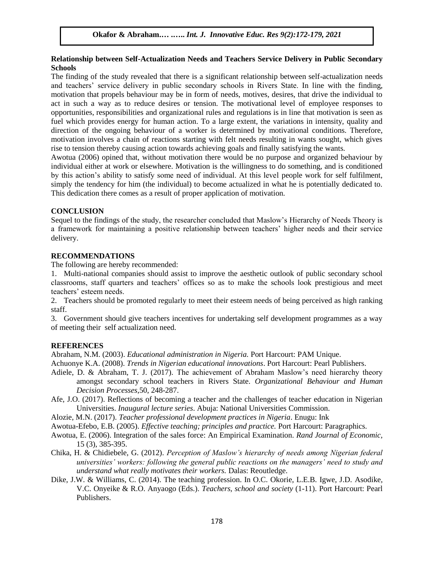# **Relationship between Self-Actualization Needs and Teachers Service Delivery in Public Secondary Schools**

The finding of the study revealed that there is a significant relationship between self-actualization needs and teachers' service delivery in public secondary schools in Rivers State. In line with the finding, motivation that propels behaviour may be in form of needs, motives, desires, that drive the individual to act in such a way as to reduce desires or tension. The motivational level of employee responses to opportunities, responsibilities and organizational rules and regulations is in line that motivation is seen as fuel which provides energy for human action. To a large extent, the variations in intensity, quality and direction of the ongoing behaviour of a worker is determined by motivational conditions. Therefore, motivation involves a chain of reactions starting with felt needs resulting in wants sought, which gives rise to tension thereby causing action towards achieving goals and finally satisfying the wants.

Awotua (2006) opined that, without motivation there would be no purpose and organized behaviour by individual either at work or elsewhere. Motivation is the willingness to do something, and is conditioned by this action's ability to satisfy some need of individual. At this level people work for self fulfilment, simply the tendency for him (the individual) to become actualized in what he is potentially dedicated to. This dedication there comes as a result of proper application of motivation.

# **CONCLUSION**

Sequel to the findings of the study, the researcher concluded that Maslow's Hierarchy of Needs Theory is a framework for maintaining a positive relationship between teachers' higher needs and their service delivery.

# **RECOMMENDATIONS**

The following are hereby recommended:

1. Multi-national companies should assist to improve the aesthetic outlook of public secondary school classrooms, staff quarters and teachers' offices so as to make the schools look prestigious and meet teachers' esteem needs.

2. Teachers should be promoted regularly to meet their esteem needs of being perceived as high ranking staff.

3. Government should give teachers incentives for undertaking self development programmes as a way of meeting their self actualization need.

# **REFERENCES**

Abraham, N.M. (2003). *Educational administration in Nigeria.* Port Harcourt: PAM Unique.

Achuonye K.A. (2008). *Trends in Nigerian educational innovations*. Port Harcourt: Pearl Publishers.

- Adiele, D. & Abraham, T. J. (2017). The achievement of Abraham Maslow's need hierarchy theory amongst secondary school teachers in Rivers State. *Organizational Behaviour and Human Decision Processes*,50, 248-287.
- Afe, J.O. (2017). Reflections of becoming a teacher and the challenges of teacher education in Nigerian Universities. *Inaugural lecture series*. Abuja: National Universities Commission.
- Alozie, M.N. (2017). *Teacher professional development practices in Nigeria*. Enugu: Ink
- Awotua-Efebo, E.B. (2005). *Effective teaching; principles and practice.* Port Harcourt: Paragraphics.
- Awotua, E. (2006). Integration of the sales force: An Empirical Examination. *Rand Journal of Economic,* 15 (3), 385-395.
- Chika, H. & Chidiebele, G. (2012). *Perception of Maslow's hierarchy of needs among Nigerian federal universities' workers: following the general public reactions on the managers' need to study and understand what really motivates their workers.* Dalas: Reoutledge.
- Dike, J.W. & Williams, C. (2014). The teaching profession. In O.C. Okorie, L.E.B. Igwe, J.D. Asodike, V.C. Onyeike & R.O. Anyaogo (Eds.). *Teachers, school and society* (1-11). Port Harcourt: Pearl Publishers.